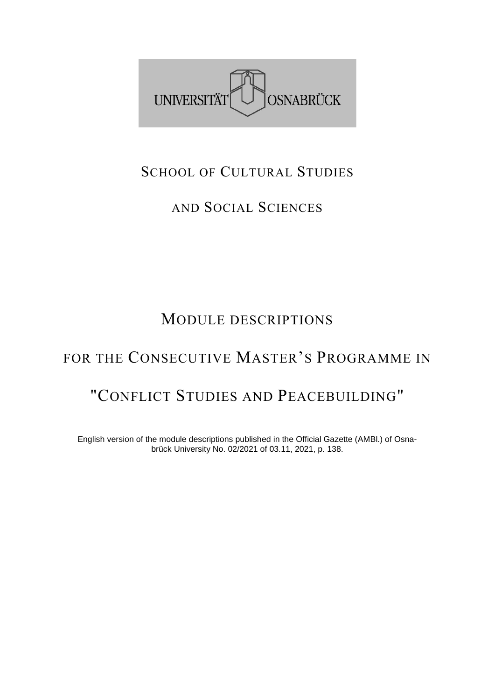

### SCHOOL OF CULTURAL STUDIES

## AND SOCIAL SCIENCES

## MODULE DESCRIPTIONS

## FOR THE CONSECUTIVE MASTER'S PROGRAMME IN

## "CONFLICT STUDIES AND PEACEBUILDING"

English version of the module descriptions published in the Official Gazette (AMBl.) of Osnabrück University No. 02/2021 of 03.11, 2021, p. 138.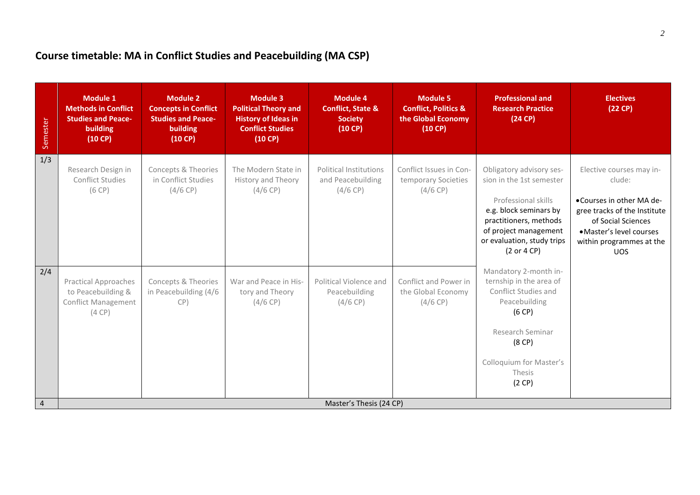#### **Course timetable: MA in Conflict Studies and Peacebuilding (MA CSP)**

| Semester       | <b>Module 1</b><br><b>Methods in Conflict</b><br><b>Studies and Peace-</b><br>building<br>(10 CP) | <b>Module 2</b><br><b>Concepts in Conflict</b><br><b>Studies and Peace-</b><br>building<br>(10 C) | <b>Module 3</b><br><b>Political Theory and</b><br><b>History of Ideas in</b><br><b>Conflict Studies</b><br>(10 C) | <b>Module 4</b><br><b>Conflict, State &amp;</b><br><b>Society</b><br>$(10 \text{ CP})$ | <b>Module 5</b><br><b>Conflict, Politics &amp;</b><br>the Global Economy<br>$(10 \text{ CP})$ | <b>Professional and</b><br><b>Research Practice</b><br>(24 CP)                                                                                                                                        | <b>Electives</b><br>(22 CP)                                                                                                                                                                |
|----------------|---------------------------------------------------------------------------------------------------|---------------------------------------------------------------------------------------------------|-------------------------------------------------------------------------------------------------------------------|----------------------------------------------------------------------------------------|-----------------------------------------------------------------------------------------------|-------------------------------------------------------------------------------------------------------------------------------------------------------------------------------------------------------|--------------------------------------------------------------------------------------------------------------------------------------------------------------------------------------------|
| 1/3            | Research Design in<br><b>Conflict Studies</b><br>(6 CP)                                           | Concepts & Theories<br>in Conflict Studies<br>(4/6 CP)                                            | The Modern State in<br>History and Theory<br>$(4/6$ CP)                                                           | <b>Political Institutions</b><br>and Peacebuilding<br>(4/6 CP)                         | Conflict Issues in Con-<br>temporary Societies<br>$(4/6$ CP)                                  | Obligatory advisory ses-<br>sion in the 1st semester<br>Professional skills<br>e.g. block seminars by<br>practitioners, methods<br>of project management<br>or evaluation, study trips<br>(2 or 4 CP) | Elective courses may in-<br>clude:<br>•Courses in other MA de-<br>gree tracks of the Institute<br>of Social Sciences<br>· Master's level courses<br>within programmes at the<br><b>UOS</b> |
| 2/4            | <b>Practical Approaches</b><br>to Peacebuilding &<br><b>Conflict Management</b><br>(4 CP)         | Concepts & Theories<br>in Peacebuilding (4/6<br>CP)                                               | War and Peace in His-<br>tory and Theory<br>(4/6 CP)                                                              | Political Violence and<br>Peacebuilding<br>$(4/6$ CP)                                  | Conflict and Power in<br>the Global Economy<br>(4/6 CP)                                       | Mandatory 2-month in-<br>ternship in the area of<br>Conflict Studies and<br>Peacebuilding<br>(6 CP)<br>Research Seminar<br>(8 <sup>CP</sup> )<br>Colloquium for Master's<br>Thesis<br>(2 CP)          |                                                                                                                                                                                            |
| $\overline{4}$ | Master's Thesis (24 CP)                                                                           |                                                                                                   |                                                                                                                   |                                                                                        |                                                                                               |                                                                                                                                                                                                       |                                                                                                                                                                                            |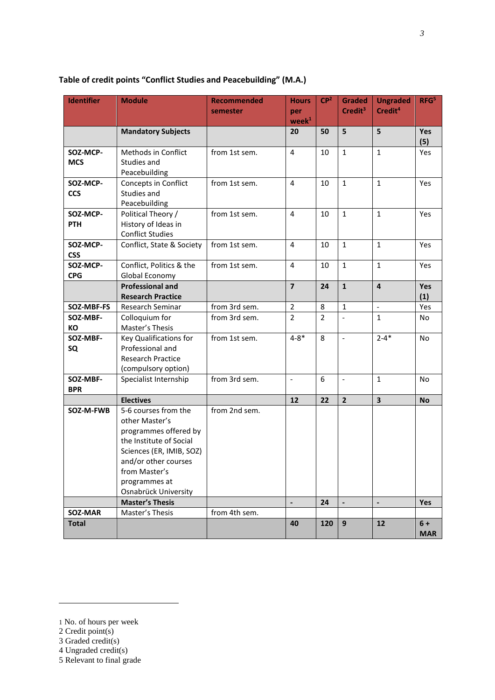| <b>Identifier</b>      | <b>Module</b>                                                                                                                                                                                            | <b>Recommended</b><br>semester | <b>Hours</b><br>per<br>$\mathbf{week}^1$ | CP <sup>2</sup> | <b>Graded</b><br>Credit <sup>3</sup> | <b>Ungraded</b><br>Credit <sup>4</sup> | RFG <sup>5</sup>   |
|------------------------|----------------------------------------------------------------------------------------------------------------------------------------------------------------------------------------------------------|--------------------------------|------------------------------------------|-----------------|--------------------------------------|----------------------------------------|--------------------|
|                        | <b>Mandatory Subjects</b>                                                                                                                                                                                |                                | 20                                       | 50              | 5                                    | 5                                      | Yes<br>(5)         |
| SOZ-MCP-<br><b>MCS</b> | Methods in Conflict<br>Studies and<br>Peacebuilding                                                                                                                                                      | from 1st sem.                  | 4                                        | 10              | $\mathbf{1}$                         | $\mathbf{1}$                           | Yes                |
| SOZ-MCP-<br><b>CCS</b> | Concepts in Conflict<br>Studies and<br>Peacebuilding                                                                                                                                                     | from 1st sem.                  | $\overline{4}$                           | 10              | $\mathbf{1}$                         | $\mathbf{1}$                           | Yes                |
| SOZ-MCP-<br>PTH        | Political Theory /<br>History of Ideas in<br><b>Conflict Studies</b>                                                                                                                                     | from 1st sem.                  | 4                                        | 10              | $\mathbf{1}$                         | $\mathbf{1}$                           | Yes                |
| SOZ-MCP-<br><b>CSS</b> | Conflict, State & Society                                                                                                                                                                                | from 1st sem.                  | 4                                        | 10              | $\mathbf{1}$                         | $\mathbf{1}$                           | Yes                |
| SOZ-MCP-<br><b>CPG</b> | Conflict, Politics & the<br>Global Economy                                                                                                                                                               | from 1st sem.                  | 4                                        | 10              | $1\,$                                | $\mathbf{1}$                           | Yes                |
|                        | <b>Professional and</b><br><b>Research Practice</b>                                                                                                                                                      |                                | $\overline{7}$                           | 24              | $\mathbf{1}$                         | $\overline{4}$                         | Yes<br>(1)         |
| SOZ-MBF-FS             | Research Seminar                                                                                                                                                                                         | from 3rd sem.                  | $\overline{2}$                           | 8               | $\mathbf 1$                          | $\overline{\phantom{a}}$               | Yes                |
| SOZ-MBF-<br>КO         | Colloquium for<br>Master's Thesis                                                                                                                                                                        | from 3rd sem.                  | $\overline{2}$                           | $\overline{2}$  |                                      | $\mathbf{1}$                           | No                 |
| SOZ-MBF-<br>SQ         | Key Qualifications for<br>Professional and<br><b>Research Practice</b><br>(compulsory option)                                                                                                            | from 1st sem.                  | $4 - 8*$                                 | 8               | $\blacksquare$                       | $2 - 4*$                               | No                 |
| SOZ-MBF-<br><b>BPR</b> | Specialist Internship                                                                                                                                                                                    | from 3rd sem.                  | $\blacksquare$                           | 6               | $\blacksquare$                       | $\mathbf{1}$                           | No                 |
|                        | <b>Electives</b>                                                                                                                                                                                         |                                | 12                                       | 22              | $\overline{2}$                       | $\overline{\mathbf{3}}$                | <b>No</b>          |
| SOZ-M-FWB              | 5-6 courses from the<br>other Master's<br>programmes offered by<br>the Institute of Social<br>Sciences (ER, IMIB, SOZ)<br>and/or other courses<br>from Master's<br>programmes at<br>Osnabrück University | from 2nd sem.                  |                                          |                 |                                      |                                        |                    |
|                        | <b>Master's Thesis</b>                                                                                                                                                                                   |                                | $\overline{\phantom{a}}$                 | 24              | $\blacksquare$                       | $\overline{\phantom{a}}$               | <b>Yes</b>         |
| SOZ-MAR                | Master's Thesis                                                                                                                                                                                          | from 4th sem.                  |                                          |                 |                                      |                                        |                    |
| <b>Total</b>           |                                                                                                                                                                                                          |                                | 40                                       | 120             | 9                                    | 12                                     | $6+$<br><b>MAR</b> |

#### **Table of credit points "Conflict Studies and Peacebuilding" (M.A.)**

 $\overline{a}$ 

<sup>1</sup> No. of hours per week

<sup>2</sup> Credit point(s)

<sup>3</sup> Graded credit(s)

<sup>4</sup> Ungraded credit(s)

<sup>5</sup> Relevant to final grade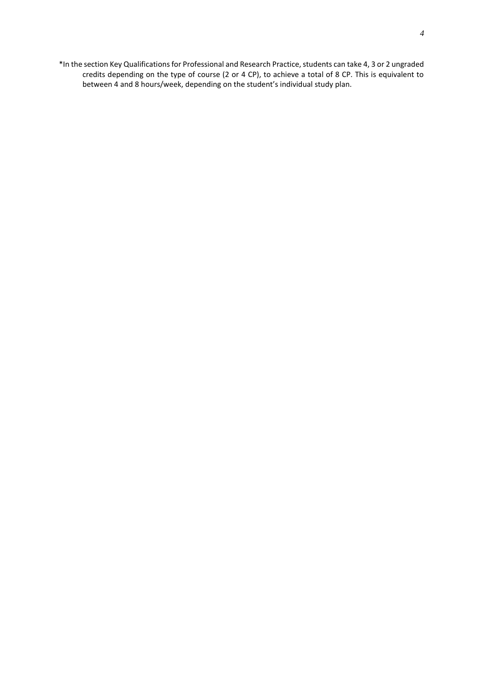\*In the section Key Qualifications for Professional and Research Practice, students can take 4, 3 or 2 ungraded credits depending on the type of course (2 or 4 CP), to achieve a total of 8 CP. This is equivalent to between 4 and 8 hours/week, depending on the student's individual study plan.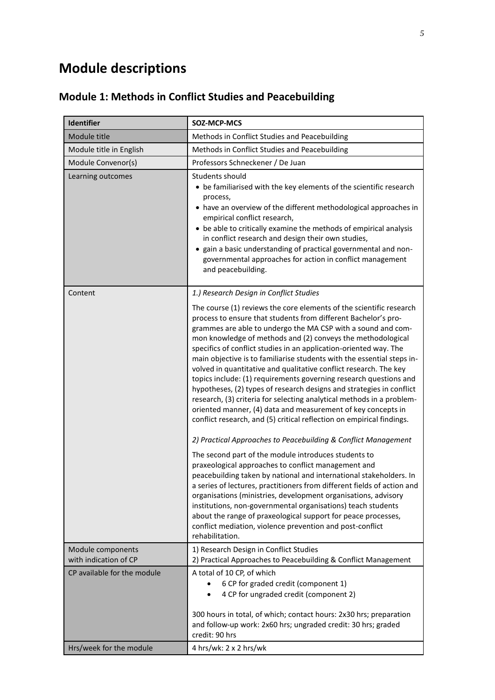# **Module descriptions**

#### **Module 1: Methods in Conflict Studies and Peacebuilding**

| <b>Identifier</b>                          | SOZ-MCP-MCS                                                                                                                                                                                                                                                                                                                                                                                                                                                                                                                                                                                                                                                                                                                                                                                                                                                                                                                                                                                                                                                                                                                                                                                                                                                                                                                                                                                                                                                                                                             |
|--------------------------------------------|-------------------------------------------------------------------------------------------------------------------------------------------------------------------------------------------------------------------------------------------------------------------------------------------------------------------------------------------------------------------------------------------------------------------------------------------------------------------------------------------------------------------------------------------------------------------------------------------------------------------------------------------------------------------------------------------------------------------------------------------------------------------------------------------------------------------------------------------------------------------------------------------------------------------------------------------------------------------------------------------------------------------------------------------------------------------------------------------------------------------------------------------------------------------------------------------------------------------------------------------------------------------------------------------------------------------------------------------------------------------------------------------------------------------------------------------------------------------------------------------------------------------------|
| Module title                               | Methods in Conflict Studies and Peacebuilding                                                                                                                                                                                                                                                                                                                                                                                                                                                                                                                                                                                                                                                                                                                                                                                                                                                                                                                                                                                                                                                                                                                                                                                                                                                                                                                                                                                                                                                                           |
| Module title in English                    | Methods in Conflict Studies and Peacebuilding                                                                                                                                                                                                                                                                                                                                                                                                                                                                                                                                                                                                                                                                                                                                                                                                                                                                                                                                                                                                                                                                                                                                                                                                                                                                                                                                                                                                                                                                           |
| Module Convenor(s)                         | Professors Schneckener / De Juan                                                                                                                                                                                                                                                                                                                                                                                                                                                                                                                                                                                                                                                                                                                                                                                                                                                                                                                                                                                                                                                                                                                                                                                                                                                                                                                                                                                                                                                                                        |
| Learning outcomes                          | Students should<br>• be familiarised with the key elements of the scientific research<br>process,<br>have an overview of the different methodological approaches in<br>empirical conflict research,<br>• be able to critically examine the methods of empirical analysis<br>in conflict research and design their own studies,<br>• gain a basic understanding of practical governmental and non-<br>governmental approaches for action in conflict management<br>and peacebuilding.                                                                                                                                                                                                                                                                                                                                                                                                                                                                                                                                                                                                                                                                                                                                                                                                                                                                                                                                                                                                                                    |
| Content                                    | 1.) Research Design in Conflict Studies<br>The course (1) reviews the core elements of the scientific research<br>process to ensure that students from different Bachelor's pro-<br>grammes are able to undergo the MA CSP with a sound and com-<br>mon knowledge of methods and (2) conveys the methodological<br>specifics of conflict studies in an application-oriented way. The<br>main objective is to familiarise students with the essential steps in-<br>volved in quantitative and qualitative conflict research. The key<br>topics include: (1) requirements governing research questions and<br>hypotheses, (2) types of research designs and strategies in conflict<br>research, (3) criteria for selecting analytical methods in a problem-<br>oriented manner, (4) data and measurement of key concepts in<br>conflict research, and (5) critical reflection on empirical findings.<br>2) Practical Approaches to Peacebuilding & Conflict Management<br>The second part of the module introduces students to<br>praxeological approaches to conflict management and<br>peacebuilding taken by national and international stakeholders. In<br>a series of lectures, practitioners from different fields of action and<br>organisations (ministries, development organisations, advisory<br>institutions, non-governmental organisations) teach students<br>about the range of praxeological support for peace processes,<br>conflict mediation, violence prevention and post-conflict<br>rehabilitation. |
| Module components<br>with indication of CP | 1) Research Design in Conflict Studies<br>2) Practical Approaches to Peacebuilding & Conflict Management                                                                                                                                                                                                                                                                                                                                                                                                                                                                                                                                                                                                                                                                                                                                                                                                                                                                                                                                                                                                                                                                                                                                                                                                                                                                                                                                                                                                                |
| CP available for the module                | A total of 10 CP, of which<br>6 CP for graded credit (component 1)<br>4 CP for ungraded credit (component 2)<br>$\bullet$<br>300 hours in total, of which; contact hours: 2x30 hrs; preparation<br>and follow-up work: 2x60 hrs; ungraded credit: 30 hrs; graded<br>credit: 90 hrs                                                                                                                                                                                                                                                                                                                                                                                                                                                                                                                                                                                                                                                                                                                                                                                                                                                                                                                                                                                                                                                                                                                                                                                                                                      |
| Hrs/week for the module                    | 4 hrs/wk: $2 \times 2$ hrs/wk                                                                                                                                                                                                                                                                                                                                                                                                                                                                                                                                                                                                                                                                                                                                                                                                                                                                                                                                                                                                                                                                                                                                                                                                                                                                                                                                                                                                                                                                                           |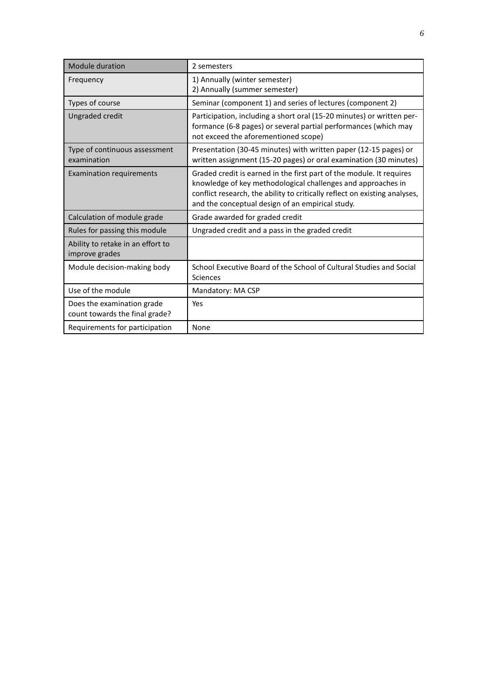| <b>Module duration</b>                                       | 2 semesters                                                                                                                                                                                                                                                            |
|--------------------------------------------------------------|------------------------------------------------------------------------------------------------------------------------------------------------------------------------------------------------------------------------------------------------------------------------|
| Frequency                                                    | 1) Annually (winter semester)<br>2) Annually (summer semester)                                                                                                                                                                                                         |
| Types of course                                              | Seminar (component 1) and series of lectures (component 2)                                                                                                                                                                                                             |
| Ungraded credit                                              | Participation, including a short oral (15-20 minutes) or written per-<br>formance (6-8 pages) or several partial performances (which may<br>not exceed the aforementioned scope)                                                                                       |
| Type of continuous assessment<br>examination                 | Presentation (30-45 minutes) with written paper (12-15 pages) or<br>written assignment (15-20 pages) or oral examination (30 minutes)                                                                                                                                  |
| <b>Examination requirements</b>                              | Graded credit is earned in the first part of the module. It requires<br>knowledge of key methodological challenges and approaches in<br>conflict research, the ability to critically reflect on existing analyses,<br>and the conceptual design of an empirical study. |
| Calculation of module grade                                  | Grade awarded for graded credit                                                                                                                                                                                                                                        |
| Rules for passing this module                                | Ungraded credit and a pass in the graded credit                                                                                                                                                                                                                        |
| Ability to retake in an effort to<br>improve grades          |                                                                                                                                                                                                                                                                        |
| Module decision-making body                                  | School Executive Board of the School of Cultural Studies and Social<br>Sciences                                                                                                                                                                                        |
| Use of the module                                            | Mandatory: MA CSP                                                                                                                                                                                                                                                      |
| Does the examination grade<br>count towards the final grade? | Yes                                                                                                                                                                                                                                                                    |
| Requirements for participation                               | None                                                                                                                                                                                                                                                                   |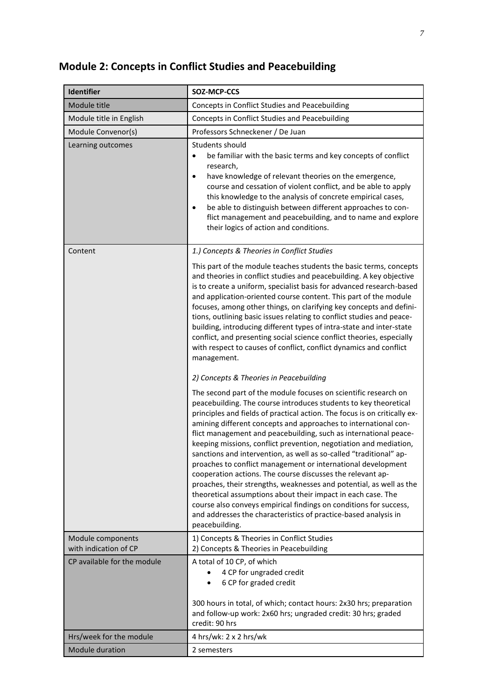### **Module 2: Concepts in Conflict Studies and Peacebuilding**

| <b>Identifier</b>                          | SOZ-MCP-CCS                                                                                                                                                                                                                                                                                                                                                                                                                                                                                                                                                                                                                                                                                                                                                                                                                                                                                                                       |
|--------------------------------------------|-----------------------------------------------------------------------------------------------------------------------------------------------------------------------------------------------------------------------------------------------------------------------------------------------------------------------------------------------------------------------------------------------------------------------------------------------------------------------------------------------------------------------------------------------------------------------------------------------------------------------------------------------------------------------------------------------------------------------------------------------------------------------------------------------------------------------------------------------------------------------------------------------------------------------------------|
| Module title                               | Concepts in Conflict Studies and Peacebuilding                                                                                                                                                                                                                                                                                                                                                                                                                                                                                                                                                                                                                                                                                                                                                                                                                                                                                    |
| Module title in English                    | Concepts in Conflict Studies and Peacebuilding                                                                                                                                                                                                                                                                                                                                                                                                                                                                                                                                                                                                                                                                                                                                                                                                                                                                                    |
| Module Convenor(s)                         | Professors Schneckener / De Juan                                                                                                                                                                                                                                                                                                                                                                                                                                                                                                                                                                                                                                                                                                                                                                                                                                                                                                  |
| Learning outcomes                          | Students should<br>be familiar with the basic terms and key concepts of conflict<br>$\bullet$<br>research,<br>have knowledge of relevant theories on the emergence,<br>$\bullet$<br>course and cessation of violent conflict, and be able to apply<br>this knowledge to the analysis of concrete empirical cases,<br>be able to distinguish between different approaches to con-<br>$\bullet$<br>flict management and peacebuilding, and to name and explore<br>their logics of action and conditions.                                                                                                                                                                                                                                                                                                                                                                                                                            |
| Content                                    | 1.) Concepts & Theories in Conflict Studies                                                                                                                                                                                                                                                                                                                                                                                                                                                                                                                                                                                                                                                                                                                                                                                                                                                                                       |
|                                            | This part of the module teaches students the basic terms, concepts<br>and theories in conflict studies and peacebuilding. A key objective<br>is to create a uniform, specialist basis for advanced research-based<br>and application-oriented course content. This part of the module<br>focuses, among other things, on clarifying key concepts and defini-<br>tions, outlining basic issues relating to conflict studies and peace-<br>building, introducing different types of intra-state and inter-state<br>conflict, and presenting social science conflict theories, especially<br>with respect to causes of conflict, conflict dynamics and conflict<br>management.                                                                                                                                                                                                                                                       |
|                                            | 2) Concepts & Theories in Peacebuilding                                                                                                                                                                                                                                                                                                                                                                                                                                                                                                                                                                                                                                                                                                                                                                                                                                                                                           |
|                                            | The second part of the module focuses on scientific research on<br>peacebuilding. The course introduces students to key theoretical<br>principles and fields of practical action. The focus is on critically ex-<br>amining different concepts and approaches to international con-<br>flict management and peacebuilding, such as international peace-<br>keeping missions, conflict prevention, negotiation and mediation,<br>sanctions and intervention, as well as so-called "traditional" ap-<br>proaches to conflict management or international development<br>cooperation actions. The course discusses the relevant ap-<br>proaches, their strengths, weaknesses and potential, as well as the<br>theoretical assumptions about their impact in each case. The<br>course also conveys empirical findings on conditions for success,<br>and addresses the characteristics of practice-based analysis in<br>peacebuilding. |
| Module components<br>with indication of CP | 1) Concepts & Theories in Conflict Studies<br>2) Concepts & Theories in Peacebuilding                                                                                                                                                                                                                                                                                                                                                                                                                                                                                                                                                                                                                                                                                                                                                                                                                                             |
| CP available for the module                | A total of 10 CP, of which<br>4 CP for ungraded credit<br>6 CP for graded credit<br>300 hours in total, of which; contact hours: 2x30 hrs; preparation<br>and follow-up work: 2x60 hrs; ungraded credit: 30 hrs; graded<br>credit: 90 hrs                                                                                                                                                                                                                                                                                                                                                                                                                                                                                                                                                                                                                                                                                         |
| Hrs/week for the module                    | 4 hrs/wk: $2 \times 2$ hrs/wk                                                                                                                                                                                                                                                                                                                                                                                                                                                                                                                                                                                                                                                                                                                                                                                                                                                                                                     |
| <b>Module duration</b>                     | 2 semesters                                                                                                                                                                                                                                                                                                                                                                                                                                                                                                                                                                                                                                                                                                                                                                                                                                                                                                                       |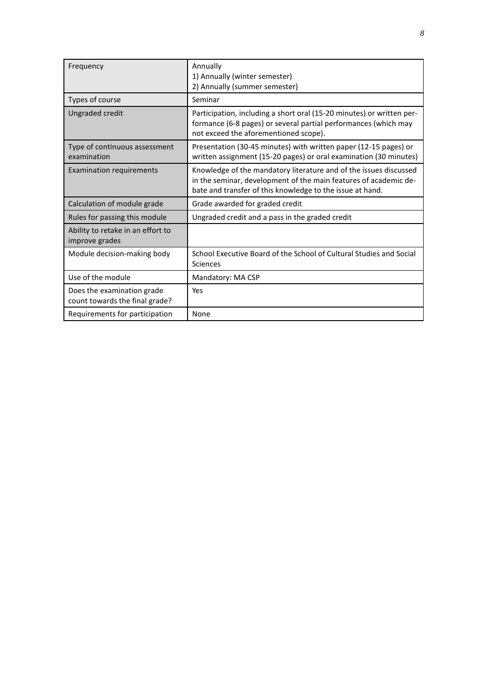| Frequency                                                    | Annually<br>1) Annually (winter semester)<br>2) Annually (summer semester)                                                                                                                         |
|--------------------------------------------------------------|----------------------------------------------------------------------------------------------------------------------------------------------------------------------------------------------------|
| Types of course                                              | Seminar                                                                                                                                                                                            |
| Ungraded credit                                              | Participation, including a short oral (15-20 minutes) or written per-<br>formance (6-8 pages) or several partial performances (which may<br>not exceed the aforementioned scope).                  |
| Type of continuous assessment<br>examination                 | Presentation (30-45 minutes) with written paper (12-15 pages) or<br>written assignment (15-20 pages) or oral examination (30 minutes)                                                              |
| <b>Examination requirements</b>                              | Knowledge of the mandatory literature and of the issues discussed<br>in the seminar, development of the main features of academic de-<br>bate and transfer of this knowledge to the issue at hand. |
| Calculation of module grade                                  | Grade awarded for graded credit                                                                                                                                                                    |
| Rules for passing this module                                | Ungraded credit and a pass in the graded credit                                                                                                                                                    |
| Ability to retake in an effort to<br>improve grades          |                                                                                                                                                                                                    |
| Module decision-making body                                  | School Executive Board of the School of Cultural Studies and Social<br>Sciences                                                                                                                    |
| Use of the module                                            | Mandatory: MA CSP                                                                                                                                                                                  |
| Does the examination grade<br>count towards the final grade? | Yes                                                                                                                                                                                                |
| Requirements for participation                               | None                                                                                                                                                                                               |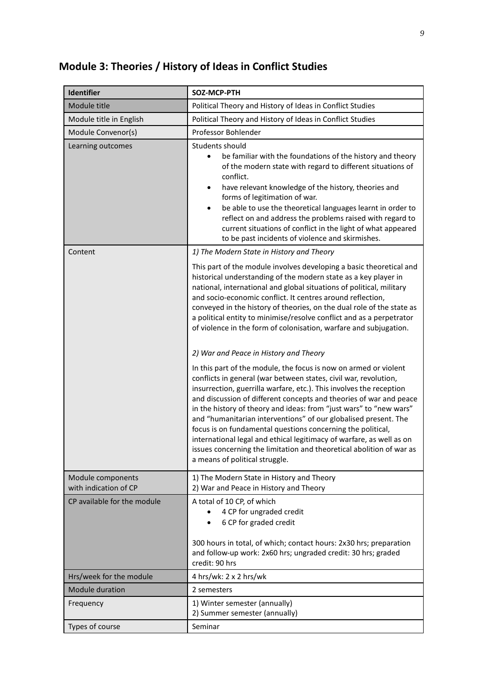### **Module 3: Theories / History of Ideas in Conflict Studies**

| Identifier                                           | SOZ-MCP-PTH                                                                                                                                                                                                                                                                                                                                                                                                                                                                                                                                                                                                                                                                 |
|------------------------------------------------------|-----------------------------------------------------------------------------------------------------------------------------------------------------------------------------------------------------------------------------------------------------------------------------------------------------------------------------------------------------------------------------------------------------------------------------------------------------------------------------------------------------------------------------------------------------------------------------------------------------------------------------------------------------------------------------|
| Module title                                         | Political Theory and History of Ideas in Conflict Studies                                                                                                                                                                                                                                                                                                                                                                                                                                                                                                                                                                                                                   |
| Module title in English                              | Political Theory and History of Ideas in Conflict Studies                                                                                                                                                                                                                                                                                                                                                                                                                                                                                                                                                                                                                   |
| Module Convenor(s)                                   | Professor Bohlender                                                                                                                                                                                                                                                                                                                                                                                                                                                                                                                                                                                                                                                         |
| Learning outcomes                                    | Students should<br>be familiar with the foundations of the history and theory<br>$\bullet$<br>of the modern state with regard to different situations of<br>conflict.<br>have relevant knowledge of the history, theories and<br>٠<br>forms of legitimation of war.<br>be able to use the theoretical languages learnt in order to<br>٠<br>reflect on and address the problems raised with regard to<br>current situations of conflict in the light of what appeared<br>to be past incidents of violence and skirmishes.                                                                                                                                                    |
| Content                                              | 1) The Modern State in History and Theory                                                                                                                                                                                                                                                                                                                                                                                                                                                                                                                                                                                                                                   |
|                                                      | This part of the module involves developing a basic theoretical and<br>historical understanding of the modern state as a key player in<br>national, international and global situations of political, military<br>and socio-economic conflict. It centres around reflection,<br>conveyed in the history of theories, on the dual role of the state as<br>a political entity to minimise/resolve conflict and as a perpetrator<br>of violence in the form of colonisation, warfare and subjugation.                                                                                                                                                                          |
|                                                      | 2) War and Peace in History and Theory                                                                                                                                                                                                                                                                                                                                                                                                                                                                                                                                                                                                                                      |
|                                                      | In this part of the module, the focus is now on armed or violent<br>conflicts in general (war between states, civil war, revolution,<br>insurrection, guerrilla warfare, etc.). This involves the reception<br>and discussion of different concepts and theories of war and peace<br>in the history of theory and ideas: from "just wars" to "new wars"<br>and "humanitarian interventions" of our globalised present. The<br>focus is on fundamental questions concerning the political,<br>international legal and ethical legitimacy of warfare, as well as on<br>issues concerning the limitation and theoretical abolition of war as<br>a means of political struggle. |
| Module components                                    | 1) The Modern State in History and Theory                                                                                                                                                                                                                                                                                                                                                                                                                                                                                                                                                                                                                                   |
| with indication of CP<br>CP available for the module | 2) War and Peace in History and Theory<br>A total of 10 CP, of which<br>4 CP for ungraded credit<br>6 CP for graded credit<br>300 hours in total, of which; contact hours: 2x30 hrs; preparation<br>and follow-up work: 2x60 hrs; ungraded credit: 30 hrs; graded<br>credit: 90 hrs                                                                                                                                                                                                                                                                                                                                                                                         |
| Hrs/week for the module                              | 4 hrs/wk: 2 x 2 hrs/wk                                                                                                                                                                                                                                                                                                                                                                                                                                                                                                                                                                                                                                                      |
| <b>Module duration</b>                               | 2 semesters                                                                                                                                                                                                                                                                                                                                                                                                                                                                                                                                                                                                                                                                 |
| Frequency                                            | 1) Winter semester (annually)<br>2) Summer semester (annually)                                                                                                                                                                                                                                                                                                                                                                                                                                                                                                                                                                                                              |
| Types of course                                      | Seminar                                                                                                                                                                                                                                                                                                                                                                                                                                                                                                                                                                                                                                                                     |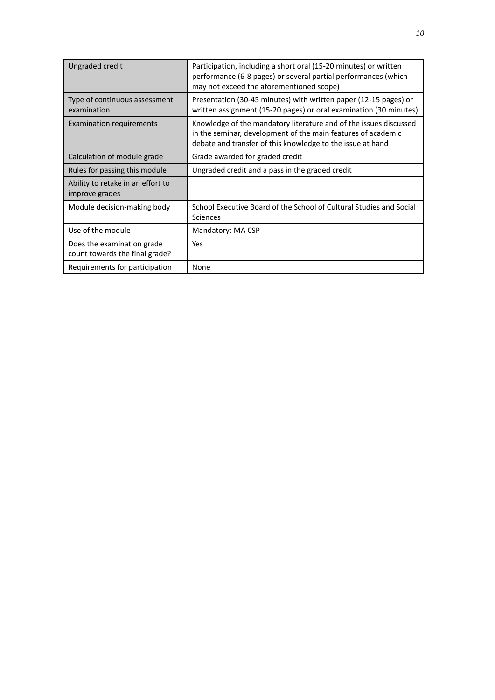| Ungraded credit                                              | Participation, including a short oral (15-20 minutes) or written<br>performance (6-8 pages) or several partial performances (which<br>may not exceed the aforementioned scope)                  |
|--------------------------------------------------------------|-------------------------------------------------------------------------------------------------------------------------------------------------------------------------------------------------|
| Type of continuous assessment<br>examination                 | Presentation (30-45 minutes) with written paper (12-15 pages) or<br>written assignment (15-20 pages) or oral examination (30 minutes)                                                           |
| <b>Examination requirements</b>                              | Knowledge of the mandatory literature and of the issues discussed<br>in the seminar, development of the main features of academic<br>debate and transfer of this knowledge to the issue at hand |
| Calculation of module grade                                  | Grade awarded for graded credit                                                                                                                                                                 |
| Rules for passing this module                                | Ungraded credit and a pass in the graded credit                                                                                                                                                 |
| Ability to retake in an effort to<br>improve grades          |                                                                                                                                                                                                 |
| Module decision-making body                                  | School Executive Board of the School of Cultural Studies and Social<br>Sciences                                                                                                                 |
| Use of the module                                            | Mandatory: MA CSP                                                                                                                                                                               |
| Does the examination grade<br>count towards the final grade? | Yes                                                                                                                                                                                             |
| Requirements for participation                               | None                                                                                                                                                                                            |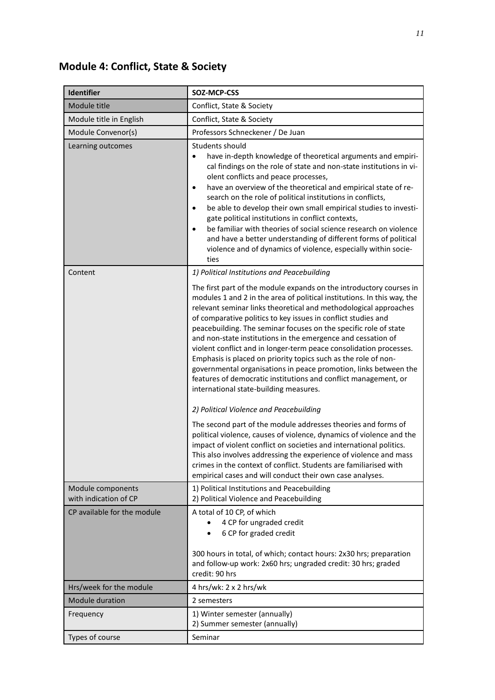#### **Module 4: Conflict, State & Society**

| Identifier                                 | SOZ-MCP-CSS                                                                                                                                                                                                                                                                                                                                                                                                                                                                                                                                                                                                                                                                                                                                                                                                                                                  |
|--------------------------------------------|--------------------------------------------------------------------------------------------------------------------------------------------------------------------------------------------------------------------------------------------------------------------------------------------------------------------------------------------------------------------------------------------------------------------------------------------------------------------------------------------------------------------------------------------------------------------------------------------------------------------------------------------------------------------------------------------------------------------------------------------------------------------------------------------------------------------------------------------------------------|
| Module title                               | Conflict, State & Society                                                                                                                                                                                                                                                                                                                                                                                                                                                                                                                                                                                                                                                                                                                                                                                                                                    |
| Module title in English                    | Conflict, State & Society                                                                                                                                                                                                                                                                                                                                                                                                                                                                                                                                                                                                                                                                                                                                                                                                                                    |
| Module Convenor(s)                         | Professors Schneckener / De Juan                                                                                                                                                                                                                                                                                                                                                                                                                                                                                                                                                                                                                                                                                                                                                                                                                             |
| Learning outcomes                          | Students should<br>have in-depth knowledge of theoretical arguments and empiri-<br>$\bullet$<br>cal findings on the role of state and non-state institutions in vi-<br>olent conflicts and peace processes,<br>have an overview of the theoretical and empirical state of re-<br>$\bullet$<br>search on the role of political institutions in conflicts,<br>be able to develop their own small empirical studies to investi-<br>$\bullet$<br>gate political institutions in conflict contexts,<br>be familiar with theories of social science research on violence<br>$\bullet$<br>and have a better understanding of different forms of political<br>violence and of dynamics of violence, especially within socie-<br>ties                                                                                                                                 |
| Content                                    | 1) Political Institutions and Peacebuilding                                                                                                                                                                                                                                                                                                                                                                                                                                                                                                                                                                                                                                                                                                                                                                                                                  |
|                                            | The first part of the module expands on the introductory courses in<br>modules 1 and 2 in the area of political institutions. In this way, the<br>relevant seminar links theoretical and methodological approaches<br>of comparative politics to key issues in conflict studies and<br>peacebuilding. The seminar focuses on the specific role of state<br>and non-state institutions in the emergence and cessation of<br>violent conflict and in longer-term peace consolidation processes.<br>Emphasis is placed on priority topics such as the role of non-<br>governmental organisations in peace promotion, links between the<br>features of democratic institutions and conflict management, or<br>international state-building measures.<br>2) Political Violence and Peacebuilding<br>The second part of the module addresses theories and forms of |
|                                            | political violence, causes of violence, dynamics of violence and the<br>impact of violent conflict on societies and international politics.<br>This also involves addressing the experience of violence and mass<br>crimes in the context of conflict. Students are familiarised with<br>empirical cases and will conduct their own case analyses.                                                                                                                                                                                                                                                                                                                                                                                                                                                                                                           |
| Module components<br>with indication of CP | 1) Political Institutions and Peacebuilding<br>2) Political Violence and Peacebuilding                                                                                                                                                                                                                                                                                                                                                                                                                                                                                                                                                                                                                                                                                                                                                                       |
| CP available for the module                | A total of 10 CP, of which<br>4 CP for ungraded credit<br>6 CP for graded credit<br>300 hours in total, of which; contact hours: 2x30 hrs; preparation<br>and follow-up work: 2x60 hrs; ungraded credit: 30 hrs; graded                                                                                                                                                                                                                                                                                                                                                                                                                                                                                                                                                                                                                                      |
|                                            | credit: 90 hrs                                                                                                                                                                                                                                                                                                                                                                                                                                                                                                                                                                                                                                                                                                                                                                                                                                               |
| Hrs/week for the module<br>Module duration | 4 hrs/wk: $2 \times 2$ hrs/wk<br>2 semesters                                                                                                                                                                                                                                                                                                                                                                                                                                                                                                                                                                                                                                                                                                                                                                                                                 |
| Frequency                                  | 1) Winter semester (annually)                                                                                                                                                                                                                                                                                                                                                                                                                                                                                                                                                                                                                                                                                                                                                                                                                                |
|                                            | 2) Summer semester (annually)                                                                                                                                                                                                                                                                                                                                                                                                                                                                                                                                                                                                                                                                                                                                                                                                                                |
| Types of course                            | Seminar                                                                                                                                                                                                                                                                                                                                                                                                                                                                                                                                                                                                                                                                                                                                                                                                                                                      |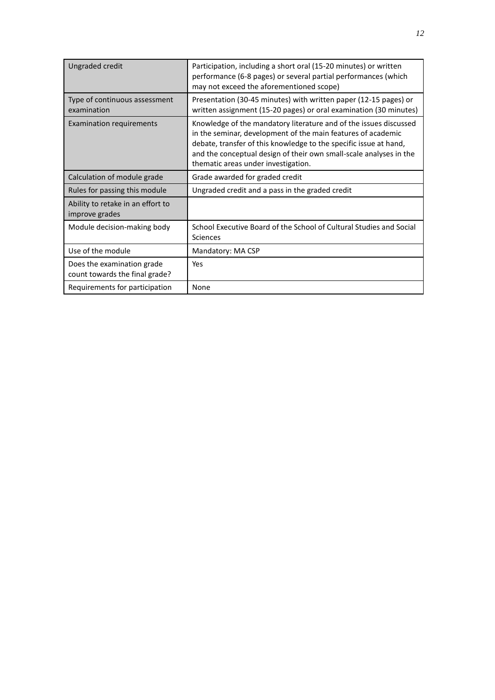| Ungraded credit                                              | Participation, including a short oral (15-20 minutes) or written<br>performance (6-8 pages) or several partial performances (which<br>may not exceed the aforementioned scope)                                                                                                                                      |
|--------------------------------------------------------------|---------------------------------------------------------------------------------------------------------------------------------------------------------------------------------------------------------------------------------------------------------------------------------------------------------------------|
| Type of continuous assessment<br>examination                 | Presentation (30-45 minutes) with written paper (12-15 pages) or<br>written assignment (15-20 pages) or oral examination (30 minutes)                                                                                                                                                                               |
| <b>Examination requirements</b>                              | Knowledge of the mandatory literature and of the issues discussed<br>in the seminar, development of the main features of academic<br>debate, transfer of this knowledge to the specific issue at hand,<br>and the conceptual design of their own small-scale analyses in the<br>thematic areas under investigation. |
| Calculation of module grade                                  | Grade awarded for graded credit                                                                                                                                                                                                                                                                                     |
| Rules for passing this module                                | Ungraded credit and a pass in the graded credit                                                                                                                                                                                                                                                                     |
| Ability to retake in an effort to<br>improve grades          |                                                                                                                                                                                                                                                                                                                     |
| Module decision-making body                                  | School Executive Board of the School of Cultural Studies and Social<br>Sciences                                                                                                                                                                                                                                     |
| Use of the module                                            | Mandatory: MA CSP                                                                                                                                                                                                                                                                                                   |
| Does the examination grade<br>count towards the final grade? | Yes                                                                                                                                                                                                                                                                                                                 |
| Requirements for participation                               | None                                                                                                                                                                                                                                                                                                                |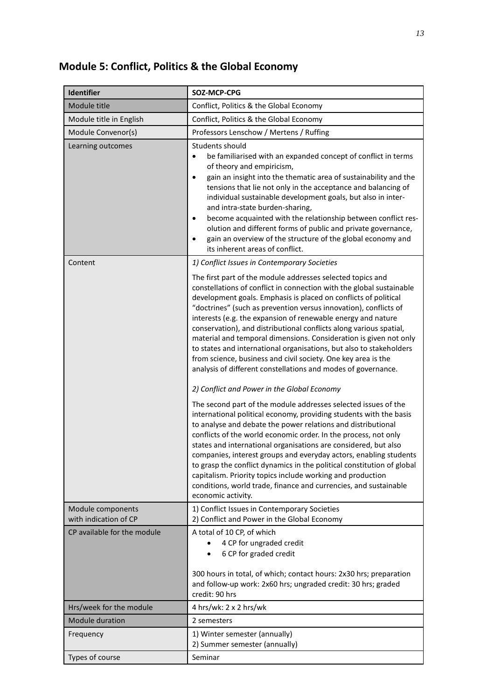#### **Module 5: Conflict, Politics & the Global Economy**

| <b>Identifier</b>                          | SOZ-MCP-CPG                                                                                                                                                                                                                                                                                                                                                                                                                                                                                                                                                                                                                                                                                                                                                                                                    |
|--------------------------------------------|----------------------------------------------------------------------------------------------------------------------------------------------------------------------------------------------------------------------------------------------------------------------------------------------------------------------------------------------------------------------------------------------------------------------------------------------------------------------------------------------------------------------------------------------------------------------------------------------------------------------------------------------------------------------------------------------------------------------------------------------------------------------------------------------------------------|
| Module title                               | Conflict, Politics & the Global Economy                                                                                                                                                                                                                                                                                                                                                                                                                                                                                                                                                                                                                                                                                                                                                                        |
| Module title in English                    | Conflict, Politics & the Global Economy                                                                                                                                                                                                                                                                                                                                                                                                                                                                                                                                                                                                                                                                                                                                                                        |
| Module Convenor(s)                         | Professors Lenschow / Mertens / Ruffing                                                                                                                                                                                                                                                                                                                                                                                                                                                                                                                                                                                                                                                                                                                                                                        |
| Learning outcomes                          | Students should<br>be familiarised with an expanded concept of conflict in terms<br>$\bullet$<br>of theory and empiricism,<br>gain an insight into the thematic area of sustainability and the<br>$\bullet$<br>tensions that lie not only in the acceptance and balancing of<br>individual sustainable development goals, but also in inter-<br>and intra-state burden-sharing,<br>become acquainted with the relationship between conflict res-<br>$\bullet$<br>olution and different forms of public and private governance,<br>gain an overview of the structure of the global economy and<br>٠<br>its inherent areas of conflict.                                                                                                                                                                          |
| Content                                    | 1) Conflict Issues in Contemporary Societies                                                                                                                                                                                                                                                                                                                                                                                                                                                                                                                                                                                                                                                                                                                                                                   |
|                                            | The first part of the module addresses selected topics and<br>constellations of conflict in connection with the global sustainable<br>development goals. Emphasis is placed on conflicts of political<br>"doctrines" (such as prevention versus innovation), conflicts of<br>interests (e.g. the expansion of renewable energy and nature<br>conservation), and distributional conflicts along various spatial,<br>material and temporal dimensions. Consideration is given not only<br>to states and international organisations, but also to stakeholders<br>from science, business and civil society. One key area is the<br>analysis of different constellations and modes of governance.<br>2) Conflict and Power in the Global Economy<br>The second part of the module addresses selected issues of the |
|                                            | international political economy, providing students with the basis<br>to analyse and debate the power relations and distributional<br>conflicts of the world economic order. In the process, not only<br>states and international organisations are considered, but also<br>companies, interest groups and everyday actors, enabling students<br>to grasp the conflict dynamics in the political constitution of global<br>capitalism. Priority topics include working and production<br>conditions, world trade, finance and currencies, and sustainable<br>economic activity.                                                                                                                                                                                                                                |
| Module components<br>with indication of CP | 1) Conflict Issues in Contemporary Societies<br>2) Conflict and Power in the Global Economy                                                                                                                                                                                                                                                                                                                                                                                                                                                                                                                                                                                                                                                                                                                    |
| CP available for the module                | A total of 10 CP, of which<br>4 CP for ungraded credit<br>6 CP for graded credit<br>300 hours in total, of which; contact hours: 2x30 hrs; preparation<br>and follow-up work: 2x60 hrs; ungraded credit: 30 hrs; graded<br>credit: 90 hrs                                                                                                                                                                                                                                                                                                                                                                                                                                                                                                                                                                      |
| Hrs/week for the module                    | 4 hrs/wk: $2 \times 2$ hrs/wk                                                                                                                                                                                                                                                                                                                                                                                                                                                                                                                                                                                                                                                                                                                                                                                  |
| <b>Module duration</b>                     | 2 semesters                                                                                                                                                                                                                                                                                                                                                                                                                                                                                                                                                                                                                                                                                                                                                                                                    |
| Frequency                                  | 1) Winter semester (annually)<br>2) Summer semester (annually)                                                                                                                                                                                                                                                                                                                                                                                                                                                                                                                                                                                                                                                                                                                                                 |
| Types of course                            | Seminar                                                                                                                                                                                                                                                                                                                                                                                                                                                                                                                                                                                                                                                                                                                                                                                                        |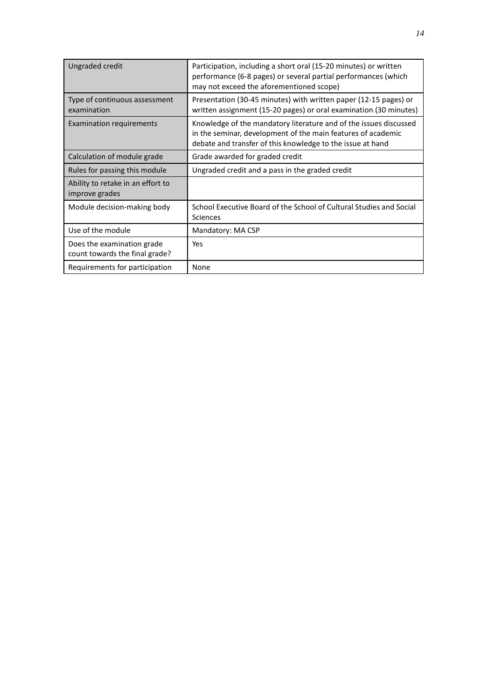| Ungraded credit                                              | Participation, including a short oral (15-20 minutes) or written<br>performance (6-8 pages) or several partial performances (which<br>may not exceed the aforementioned scope)                  |
|--------------------------------------------------------------|-------------------------------------------------------------------------------------------------------------------------------------------------------------------------------------------------|
| Type of continuous assessment<br>examination                 | Presentation (30-45 minutes) with written paper (12-15 pages) or<br>written assignment (15-20 pages) or oral examination (30 minutes)                                                           |
| <b>Examination requirements</b>                              | Knowledge of the mandatory literature and of the issues discussed<br>in the seminar, development of the main features of academic<br>debate and transfer of this knowledge to the issue at hand |
| Calculation of module grade                                  | Grade awarded for graded credit                                                                                                                                                                 |
| Rules for passing this module                                | Ungraded credit and a pass in the graded credit                                                                                                                                                 |
| Ability to retake in an effort to<br>improve grades          |                                                                                                                                                                                                 |
| Module decision-making body                                  | School Executive Board of the School of Cultural Studies and Social<br>Sciences                                                                                                                 |
| Use of the module                                            | Mandatory: MA CSP                                                                                                                                                                               |
| Does the examination grade<br>count towards the final grade? | Yes                                                                                                                                                                                             |
| Requirements for participation                               | None                                                                                                                                                                                            |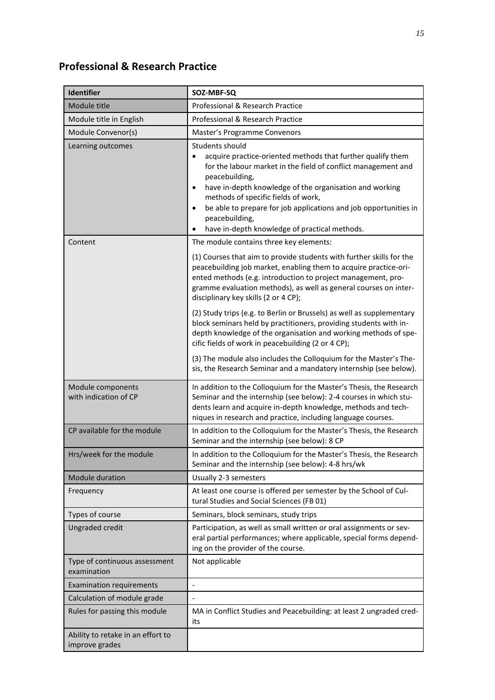#### **Professional & Research Practice**

| Identifier                                          | SOZ-MBF-SQ                                                                                                                                                                                                                                                                                                                                                                                                                                        |
|-----------------------------------------------------|---------------------------------------------------------------------------------------------------------------------------------------------------------------------------------------------------------------------------------------------------------------------------------------------------------------------------------------------------------------------------------------------------------------------------------------------------|
| Module title                                        | Professional & Research Practice                                                                                                                                                                                                                                                                                                                                                                                                                  |
| Module title in English                             | Professional & Research Practice                                                                                                                                                                                                                                                                                                                                                                                                                  |
| Module Convenor(s)                                  | Master's Programme Convenors                                                                                                                                                                                                                                                                                                                                                                                                                      |
| Learning outcomes                                   | Students should<br>acquire practice-oriented methods that further qualify them<br>$\bullet$<br>for the labour market in the field of conflict management and<br>peacebuilding,<br>have in-depth knowledge of the organisation and working<br>$\bullet$<br>methods of specific fields of work,<br>be able to prepare for job applications and job opportunities in<br>$\bullet$<br>peacebuilding,<br>have in-depth knowledge of practical methods. |
| Content                                             | The module contains three key elements:                                                                                                                                                                                                                                                                                                                                                                                                           |
|                                                     | (1) Courses that aim to provide students with further skills for the<br>peacebuilding job market, enabling them to acquire practice-ori-<br>ented methods (e.g. introduction to project management, pro-<br>gramme evaluation methods), as well as general courses on inter-<br>disciplinary key skills (2 or 4 CP);                                                                                                                              |
|                                                     | (2) Study trips (e.g. to Berlin or Brussels) as well as supplementary<br>block seminars held by practitioners, providing students with in-<br>depth knowledge of the organisation and working methods of spe-<br>cific fields of work in peacebuilding (2 or 4 CP);                                                                                                                                                                               |
|                                                     | (3) The module also includes the Colloquium for the Master's The-<br>sis, the Research Seminar and a mandatory internship (see below).                                                                                                                                                                                                                                                                                                            |
| Module components<br>with indication of CP          | In addition to the Colloquium for the Master's Thesis, the Research<br>Seminar and the internship (see below): 2-4 courses in which stu-<br>dents learn and acquire in-depth knowledge, methods and tech-<br>niques in research and practice, including language courses.                                                                                                                                                                         |
| CP available for the module                         | In addition to the Colloquium for the Master's Thesis, the Research<br>Seminar and the internship (see below): 8 CP                                                                                                                                                                                                                                                                                                                               |
| Hrs/week for the module                             | In addition to the Colloquium for the Master's Thesis, the Research<br>Seminar and the internship (see below): 4-8 hrs/wk                                                                                                                                                                                                                                                                                                                         |
| Module duration                                     | Usually 2-3 semesters                                                                                                                                                                                                                                                                                                                                                                                                                             |
| Frequency                                           | At least one course is offered per semester by the School of Cul-<br>tural Studies and Social Sciences (FB 01)                                                                                                                                                                                                                                                                                                                                    |
| Types of course                                     | Seminars, block seminars, study trips                                                                                                                                                                                                                                                                                                                                                                                                             |
| Ungraded credit                                     | Participation, as well as small written or oral assignments or sev-<br>eral partial performances; where applicable, special forms depend-<br>ing on the provider of the course.                                                                                                                                                                                                                                                                   |
| Type of continuous assessment<br>examination        | Not applicable                                                                                                                                                                                                                                                                                                                                                                                                                                    |
| <b>Examination requirements</b>                     | $\frac{1}{2}$                                                                                                                                                                                                                                                                                                                                                                                                                                     |
| Calculation of module grade                         | $\overline{\phantom{a}}$                                                                                                                                                                                                                                                                                                                                                                                                                          |
| Rules for passing this module                       | MA in Conflict Studies and Peacebuilding: at least 2 ungraded cred-<br>its                                                                                                                                                                                                                                                                                                                                                                        |
| Ability to retake in an effort to<br>improve grades |                                                                                                                                                                                                                                                                                                                                                                                                                                                   |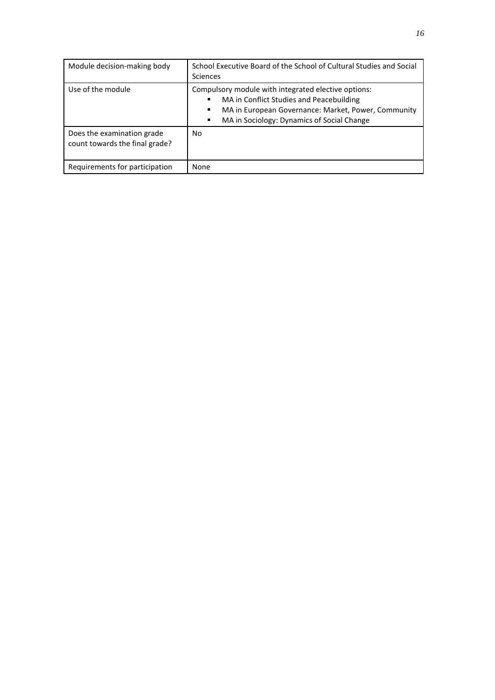| Module decision-making body                                  | School Executive Board of the School of Cultural Studies and Social<br><b>Sciences</b>                                                                                                                         |
|--------------------------------------------------------------|----------------------------------------------------------------------------------------------------------------------------------------------------------------------------------------------------------------|
| Use of the module                                            | Compulsory module with integrated elective options:<br>MA in Conflict Studies and Peacebuilding<br>MA in European Governance: Market, Power, Community<br>٠<br>MA in Sociology: Dynamics of Social Change<br>٠ |
| Does the examination grade<br>count towards the final grade? | No.                                                                                                                                                                                                            |
| Requirements for participation                               | None                                                                                                                                                                                                           |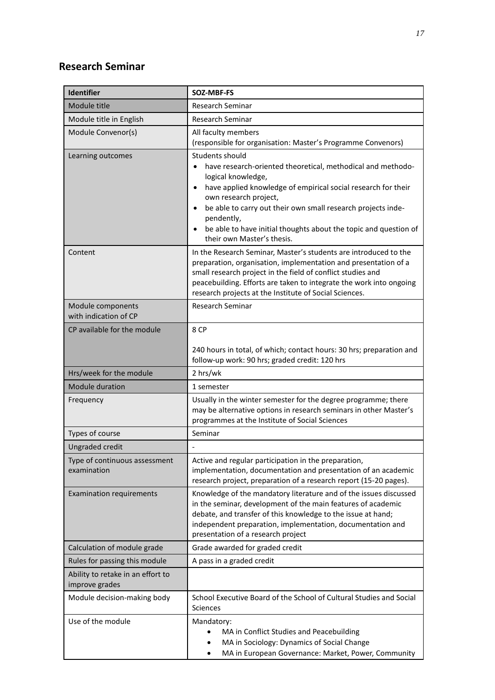#### **Research Seminar**

| <b>Identifier</b>                                   | SOZ-MBF-FS                                                                                                                                                                                                                                                                                                                                                                                               |
|-----------------------------------------------------|----------------------------------------------------------------------------------------------------------------------------------------------------------------------------------------------------------------------------------------------------------------------------------------------------------------------------------------------------------------------------------------------------------|
| Module title                                        | Research Seminar                                                                                                                                                                                                                                                                                                                                                                                         |
| Module title in English                             | <b>Research Seminar</b>                                                                                                                                                                                                                                                                                                                                                                                  |
| Module Convenor(s)                                  | All faculty members<br>(responsible for organisation: Master's Programme Convenors)                                                                                                                                                                                                                                                                                                                      |
| Learning outcomes                                   | Students should<br>have research-oriented theoretical, methodical and methodo-<br>logical knowledge,<br>have applied knowledge of empirical social research for their<br>$\bullet$<br>own research project,<br>be able to carry out their own small research projects inde-<br>$\bullet$<br>pendently,<br>be able to have initial thoughts about the topic and question of<br>their own Master's thesis. |
| Content                                             | In the Research Seminar, Master's students are introduced to the<br>preparation, organisation, implementation and presentation of a<br>small research project in the field of conflict studies and<br>peacebuilding. Efforts are taken to integrate the work into ongoing<br>research projects at the Institute of Social Sciences.                                                                      |
| Module components<br>with indication of CP          | <b>Research Seminar</b>                                                                                                                                                                                                                                                                                                                                                                                  |
| CP available for the module                         | 8 CP                                                                                                                                                                                                                                                                                                                                                                                                     |
|                                                     | 240 hours in total, of which; contact hours: 30 hrs; preparation and<br>follow-up work: 90 hrs; graded credit: 120 hrs                                                                                                                                                                                                                                                                                   |
| Hrs/week for the module                             | 2 hrs/wk                                                                                                                                                                                                                                                                                                                                                                                                 |
| <b>Module duration</b>                              | 1 semester                                                                                                                                                                                                                                                                                                                                                                                               |
| Frequency                                           | Usually in the winter semester for the degree programme; there<br>may be alternative options in research seminars in other Master's<br>programmes at the Institute of Social Sciences                                                                                                                                                                                                                    |
| Types of course                                     | Seminar                                                                                                                                                                                                                                                                                                                                                                                                  |
| <b>Ungraded credit</b>                              |                                                                                                                                                                                                                                                                                                                                                                                                          |
| Type of continuous assessment<br>examination        | Active and regular participation in the preparation,<br>implementation, documentation and presentation of an academic<br>research project, preparation of a research report (15-20 pages).                                                                                                                                                                                                               |
| <b>Examination requirements</b>                     | Knowledge of the mandatory literature and of the issues discussed<br>in the seminar, development of the main features of academic<br>debate, and transfer of this knowledge to the issue at hand;<br>independent preparation, implementation, documentation and<br>presentation of a research project                                                                                                    |
| Calculation of module grade                         | Grade awarded for graded credit                                                                                                                                                                                                                                                                                                                                                                          |
| Rules for passing this module                       | A pass in a graded credit                                                                                                                                                                                                                                                                                                                                                                                |
| Ability to retake in an effort to<br>improve grades |                                                                                                                                                                                                                                                                                                                                                                                                          |
| Module decision-making body                         | School Executive Board of the School of Cultural Studies and Social<br>Sciences                                                                                                                                                                                                                                                                                                                          |
| Use of the module                                   | Mandatory:<br>MA in Conflict Studies and Peacebuilding<br>MA in Sociology: Dynamics of Social Change<br>MA in European Governance: Market, Power, Community<br>$\bullet$                                                                                                                                                                                                                                 |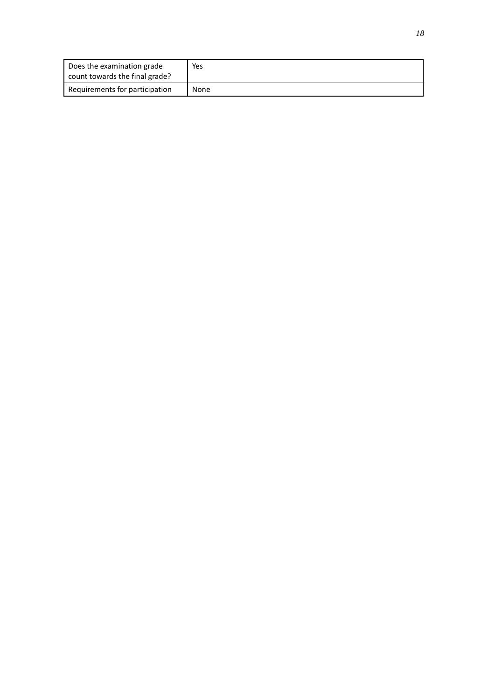| Does the examination grade<br>count towards the final grade? | Yes  |
|--------------------------------------------------------------|------|
| Requirements for participation                               | None |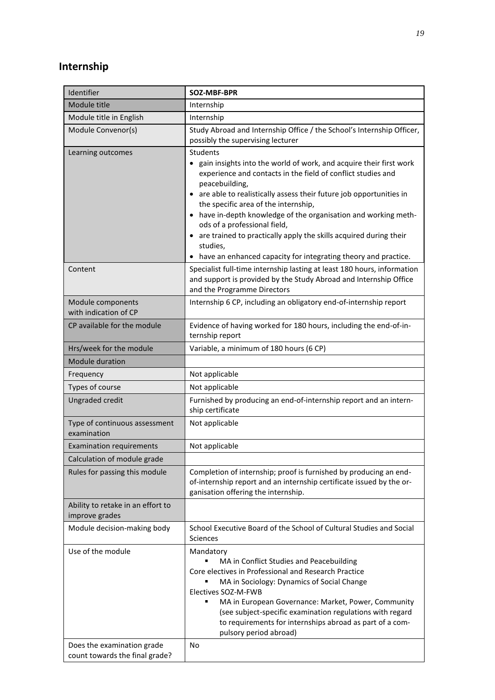#### **Internship**

| Identifier                                                   | SOZ-MBF-BPR                                                                                                                                                                                                                                                                                                                                                                                                                                                                                                                                  |
|--------------------------------------------------------------|----------------------------------------------------------------------------------------------------------------------------------------------------------------------------------------------------------------------------------------------------------------------------------------------------------------------------------------------------------------------------------------------------------------------------------------------------------------------------------------------------------------------------------------------|
| Module title                                                 | Internship                                                                                                                                                                                                                                                                                                                                                                                                                                                                                                                                   |
| Module title in English                                      | Internship                                                                                                                                                                                                                                                                                                                                                                                                                                                                                                                                   |
| Module Convenor(s)                                           | Study Abroad and Internship Office / the School's Internship Officer,<br>possibly the supervising lecturer                                                                                                                                                                                                                                                                                                                                                                                                                                   |
| Learning outcomes                                            | Students<br>• gain insights into the world of work, and acquire their first work<br>experience and contacts in the field of conflict studies and<br>peacebuilding,<br>• are able to realistically assess their future job opportunities in<br>the specific area of the internship,<br>• have in-depth knowledge of the organisation and working meth-<br>ods of a professional field,<br>• are trained to practically apply the skills acquired during their<br>studies,<br>• have an enhanced capacity for integrating theory and practice. |
| Content                                                      | Specialist full-time internship lasting at least 180 hours, information<br>and support is provided by the Study Abroad and Internship Office<br>and the Programme Directors                                                                                                                                                                                                                                                                                                                                                                  |
| Module components<br>with indication of CP                   | Internship 6 CP, including an obligatory end-of-internship report                                                                                                                                                                                                                                                                                                                                                                                                                                                                            |
| CP available for the module                                  | Evidence of having worked for 180 hours, including the end-of-in-<br>ternship report                                                                                                                                                                                                                                                                                                                                                                                                                                                         |
| Hrs/week for the module                                      | Variable, a minimum of 180 hours (6 CP)                                                                                                                                                                                                                                                                                                                                                                                                                                                                                                      |
| <b>Module duration</b>                                       |                                                                                                                                                                                                                                                                                                                                                                                                                                                                                                                                              |
| Frequency                                                    | Not applicable                                                                                                                                                                                                                                                                                                                                                                                                                                                                                                                               |
| Types of course                                              | Not applicable                                                                                                                                                                                                                                                                                                                                                                                                                                                                                                                               |
| Ungraded credit                                              | Furnished by producing an end-of-internship report and an intern-<br>ship certificate                                                                                                                                                                                                                                                                                                                                                                                                                                                        |
| Type of continuous assessment<br>examination                 | Not applicable                                                                                                                                                                                                                                                                                                                                                                                                                                                                                                                               |
| <b>Examination requirements</b>                              | Not applicable                                                                                                                                                                                                                                                                                                                                                                                                                                                                                                                               |
| Calculation of module grade                                  |                                                                                                                                                                                                                                                                                                                                                                                                                                                                                                                                              |
| Rules for passing this module                                | Completion of internship; proof is furnished by producing an end-<br>of-internship report and an internship certificate issued by the or-<br>ganisation offering the internship.                                                                                                                                                                                                                                                                                                                                                             |
| Ability to retake in an effort to<br>improve grades          |                                                                                                                                                                                                                                                                                                                                                                                                                                                                                                                                              |
| Module decision-making body                                  | School Executive Board of the School of Cultural Studies and Social<br>Sciences                                                                                                                                                                                                                                                                                                                                                                                                                                                              |
| Use of the module                                            | Mandatory<br>MA in Conflict Studies and Peacebuilding<br>Core electives in Professional and Research Practice<br>MA in Sociology: Dynamics of Social Change<br>Electives SOZ-M-FWB<br>MA in European Governance: Market, Power, Community<br>(see subject-specific examination regulations with regard<br>to requirements for internships abroad as part of a com-<br>pulsory period abroad)                                                                                                                                                 |
| Does the examination grade<br>count towards the final grade? | No                                                                                                                                                                                                                                                                                                                                                                                                                                                                                                                                           |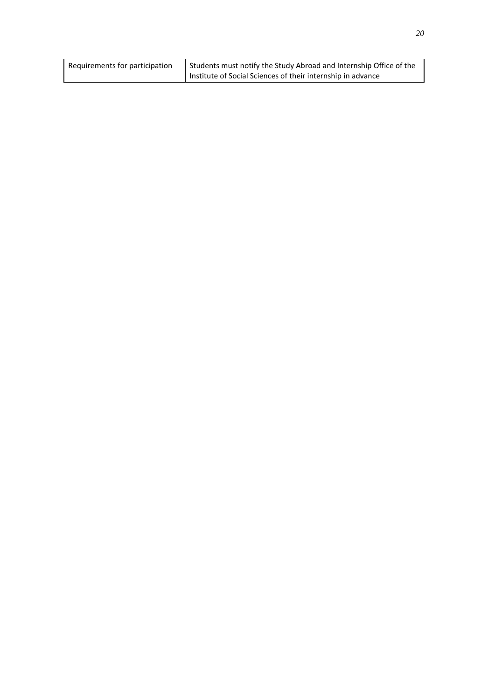| Requirements for participation | Students must notify the Study Abroad and Internship Office of the |
|--------------------------------|--------------------------------------------------------------------|
|                                | I Institute of Social Sciences of their internship in advance      |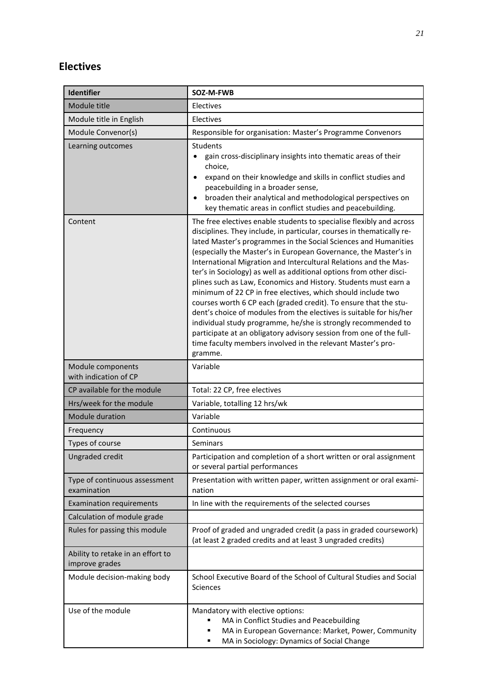#### **Electives**

| <b>Identifier</b>                                   | SOZ-M-FWB                                                                                                                                                                                                                                                                                                                                                                                                                                                                                                                                                                                                                                                                                                                                                                                                                                                                                                                       |
|-----------------------------------------------------|---------------------------------------------------------------------------------------------------------------------------------------------------------------------------------------------------------------------------------------------------------------------------------------------------------------------------------------------------------------------------------------------------------------------------------------------------------------------------------------------------------------------------------------------------------------------------------------------------------------------------------------------------------------------------------------------------------------------------------------------------------------------------------------------------------------------------------------------------------------------------------------------------------------------------------|
| Module title                                        | Electives                                                                                                                                                                                                                                                                                                                                                                                                                                                                                                                                                                                                                                                                                                                                                                                                                                                                                                                       |
| Module title in English                             | Electives                                                                                                                                                                                                                                                                                                                                                                                                                                                                                                                                                                                                                                                                                                                                                                                                                                                                                                                       |
| Module Convenor(s)                                  | Responsible for organisation: Master's Programme Convenors                                                                                                                                                                                                                                                                                                                                                                                                                                                                                                                                                                                                                                                                                                                                                                                                                                                                      |
| Learning outcomes                                   | Students<br>gain cross-disciplinary insights into thematic areas of their<br>choice,<br>expand on their knowledge and skills in conflict studies and<br>$\bullet$<br>peacebuilding in a broader sense,<br>broaden their analytical and methodological perspectives on<br>$\bullet$<br>key thematic areas in conflict studies and peacebuilding.                                                                                                                                                                                                                                                                                                                                                                                                                                                                                                                                                                                 |
| Content                                             | The free electives enable students to specialise flexibly and across<br>disciplines. They include, in particular, courses in thematically re-<br>lated Master's programmes in the Social Sciences and Humanities<br>(especially the Master's in European Governance, the Master's in<br>International Migration and Intercultural Relations and the Mas-<br>ter's in Sociology) as well as additional options from other disci-<br>plines such as Law, Economics and History. Students must earn a<br>minimum of 22 CP in free electives, which should include two<br>courses worth 6 CP each (graded credit). To ensure that the stu-<br>dent's choice of modules from the electives is suitable for his/her<br>individual study programme, he/she is strongly recommended to<br>participate at an obligatory advisory session from one of the full-<br>time faculty members involved in the relevant Master's pro-<br>gramme. |
| Module components<br>with indication of CP          | Variable                                                                                                                                                                                                                                                                                                                                                                                                                                                                                                                                                                                                                                                                                                                                                                                                                                                                                                                        |
| CP available for the module                         | Total: 22 CP, free electives                                                                                                                                                                                                                                                                                                                                                                                                                                                                                                                                                                                                                                                                                                                                                                                                                                                                                                    |
| Hrs/week for the module                             | Variable, totalling 12 hrs/wk                                                                                                                                                                                                                                                                                                                                                                                                                                                                                                                                                                                                                                                                                                                                                                                                                                                                                                   |
| <b>Module duration</b>                              | Variable                                                                                                                                                                                                                                                                                                                                                                                                                                                                                                                                                                                                                                                                                                                                                                                                                                                                                                                        |
| Frequency                                           | Continuous                                                                                                                                                                                                                                                                                                                                                                                                                                                                                                                                                                                                                                                                                                                                                                                                                                                                                                                      |
| Types of course                                     | Seminars                                                                                                                                                                                                                                                                                                                                                                                                                                                                                                                                                                                                                                                                                                                                                                                                                                                                                                                        |
| Ungraded credit                                     | Participation and completion of a short written or oral assignment<br>or several partial performances                                                                                                                                                                                                                                                                                                                                                                                                                                                                                                                                                                                                                                                                                                                                                                                                                           |
| Type of continuous assessment<br>examination        | Presentation with written paper, written assignment or oral exami-<br>nation                                                                                                                                                                                                                                                                                                                                                                                                                                                                                                                                                                                                                                                                                                                                                                                                                                                    |
| <b>Examination requirements</b>                     | In line with the requirements of the selected courses                                                                                                                                                                                                                                                                                                                                                                                                                                                                                                                                                                                                                                                                                                                                                                                                                                                                           |
| Calculation of module grade                         |                                                                                                                                                                                                                                                                                                                                                                                                                                                                                                                                                                                                                                                                                                                                                                                                                                                                                                                                 |
| Rules for passing this module                       | Proof of graded and ungraded credit (a pass in graded coursework)<br>(at least 2 graded credits and at least 3 ungraded credits)                                                                                                                                                                                                                                                                                                                                                                                                                                                                                                                                                                                                                                                                                                                                                                                                |
| Ability to retake in an effort to<br>improve grades |                                                                                                                                                                                                                                                                                                                                                                                                                                                                                                                                                                                                                                                                                                                                                                                                                                                                                                                                 |
| Module decision-making body                         | School Executive Board of the School of Cultural Studies and Social<br>Sciences                                                                                                                                                                                                                                                                                                                                                                                                                                                                                                                                                                                                                                                                                                                                                                                                                                                 |
| Use of the module                                   | Mandatory with elective options:<br>MA in Conflict Studies and Peacebuilding<br>MA in European Governance: Market, Power, Community<br>MA in Sociology: Dynamics of Social Change<br>٠                                                                                                                                                                                                                                                                                                                                                                                                                                                                                                                                                                                                                                                                                                                                          |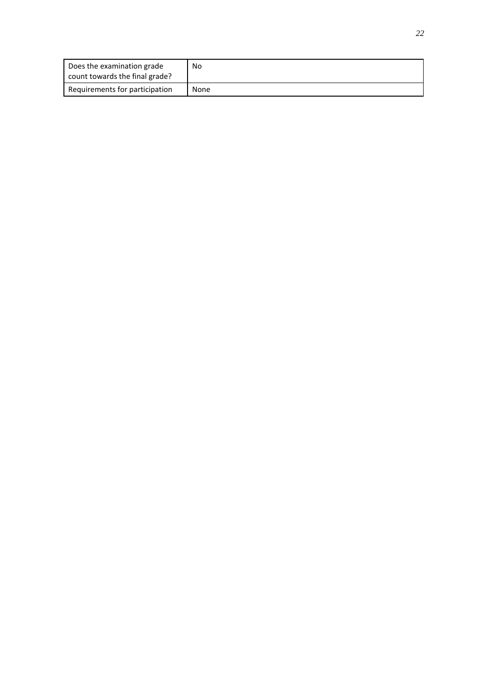| Does the examination grade<br>count towards the final grade? | No   |
|--------------------------------------------------------------|------|
| Requirements for participation                               | None |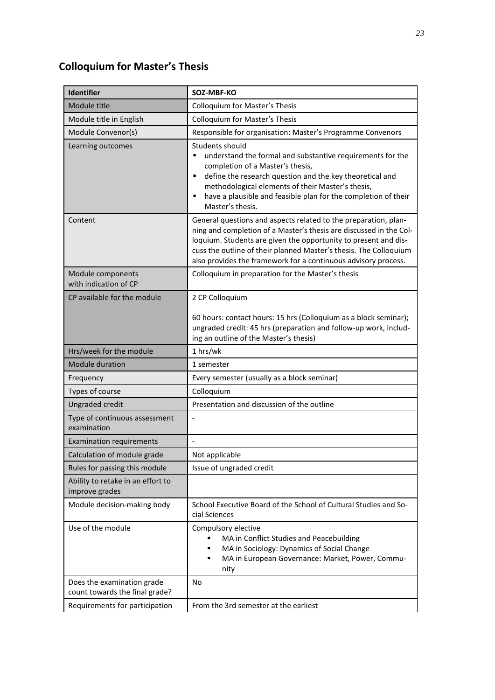### **Colloquium for Master's Thesis**

| <b>Identifier</b>                                            | SOZ-MBF-KO                                                                                                                                                                                                                                                                                                                                           |
|--------------------------------------------------------------|------------------------------------------------------------------------------------------------------------------------------------------------------------------------------------------------------------------------------------------------------------------------------------------------------------------------------------------------------|
| Module title                                                 | Colloquium for Master's Thesis                                                                                                                                                                                                                                                                                                                       |
| Module title in English                                      | <b>Colloquium for Master's Thesis</b>                                                                                                                                                                                                                                                                                                                |
| Module Convenor(s)                                           | Responsible for organisation: Master's Programme Convenors                                                                                                                                                                                                                                                                                           |
| Learning outcomes                                            | Students should<br>understand the formal and substantive requirements for the<br>٠<br>completion of a Master's thesis,<br>define the research question and the key theoretical and<br>$\blacksquare$<br>methodological elements of their Master's thesis,<br>have a plausible and feasible plan for the completion of their<br>٠<br>Master's thesis. |
| Content                                                      | General questions and aspects related to the preparation, plan-<br>ning and completion of a Master's thesis are discussed in the Col-<br>loquium. Students are given the opportunity to present and dis-<br>cuss the outline of their planned Master's thesis. The Colloquium<br>also provides the framework for a continuous advisory process.      |
| Module components<br>with indication of CP                   | Colloquium in preparation for the Master's thesis                                                                                                                                                                                                                                                                                                    |
| CP available for the module                                  | 2 CP Colloquium                                                                                                                                                                                                                                                                                                                                      |
|                                                              | 60 hours: contact hours: 15 hrs (Colloquium as a block seminar);<br>ungraded credit: 45 hrs (preparation and follow-up work, includ-<br>ing an outline of the Master's thesis)                                                                                                                                                                       |
| Hrs/week for the module                                      | 1 hrs/wk                                                                                                                                                                                                                                                                                                                                             |
| <b>Module duration</b>                                       | 1 semester                                                                                                                                                                                                                                                                                                                                           |
| Frequency                                                    | Every semester (usually as a block seminar)                                                                                                                                                                                                                                                                                                          |
| Types of course                                              | Colloquium                                                                                                                                                                                                                                                                                                                                           |
| Ungraded credit                                              | Presentation and discussion of the outline                                                                                                                                                                                                                                                                                                           |
| Type of continuous assessment<br>examination                 |                                                                                                                                                                                                                                                                                                                                                      |
| <b>Examination requirements</b>                              |                                                                                                                                                                                                                                                                                                                                                      |
| Calculation of module grade                                  | Not applicable                                                                                                                                                                                                                                                                                                                                       |
| Rules for passing this module                                | Issue of ungraded credit                                                                                                                                                                                                                                                                                                                             |
| Ability to retake in an effort to<br>improve grades          |                                                                                                                                                                                                                                                                                                                                                      |
| Module decision-making body                                  | School Executive Board of the School of Cultural Studies and So-<br>cial Sciences                                                                                                                                                                                                                                                                    |
| Use of the module                                            | Compulsory elective<br>MA in Conflict Studies and Peacebuilding<br>MA in Sociology: Dynamics of Social Change<br>٠<br>MA in European Governance: Market, Power, Commu-<br>٠<br>nity                                                                                                                                                                  |
| Does the examination grade<br>count towards the final grade? | No                                                                                                                                                                                                                                                                                                                                                   |
| Requirements for participation                               | From the 3rd semester at the earliest                                                                                                                                                                                                                                                                                                                |